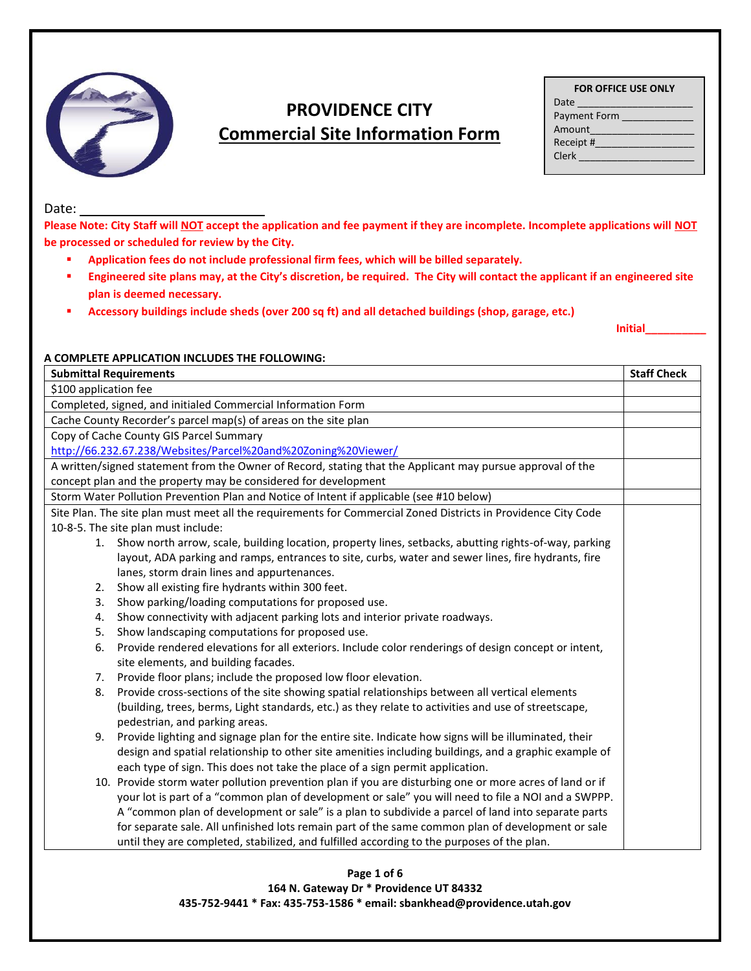

# **PROVIDENCE CITY Commercial Site Information Form**

| <b>FOR OFFICE USE ONLY</b> |  |
|----------------------------|--|
|                            |  |

| Date         |  |  |  |  |
|--------------|--|--|--|--|
| Payment Form |  |  |  |  |
| Amount       |  |  |  |  |
| Receipt #    |  |  |  |  |
| Clerk        |  |  |  |  |
|              |  |  |  |  |

Date:

**Please Note: City Staff will NOT accept the application and fee payment if they are incomplete. Incomplete applications will NOT be processed or scheduled for review by the City.** 

- **Application fees do not include professional firm fees, which will be billed separately.**
- **Engineered site plans may, at the City's discretion, be required. The City will contact the applicant if an engineered site plan is deemed necessary.**
- **Accessory buildings include sheds (over 200 sq ft) and all detached buildings (shop, garage, etc.)**

**Initial\_\_\_\_\_\_\_\_\_\_**

#### **A COMPLETE APPLICATION INCLUDES THE FOLLOWING:**

| <b>Submittal Requirements</b>                                                                                  |  |
|----------------------------------------------------------------------------------------------------------------|--|
| \$100 application fee                                                                                          |  |
| Completed, signed, and initialed Commercial Information Form                                                   |  |
| Cache County Recorder's parcel map(s) of areas on the site plan                                                |  |
| Copy of Cache County GIS Parcel Summary                                                                        |  |
| http://66.232.67.238/Websites/Parcel%20and%20Zoning%20Viewer/                                                  |  |
| A written/signed statement from the Owner of Record, stating that the Applicant may pursue approval of the     |  |
| concept plan and the property may be considered for development                                                |  |
| Storm Water Pollution Prevention Plan and Notice of Intent if applicable (see #10 below)                       |  |
| Site Plan. The site plan must meet all the requirements for Commercial Zoned Districts in Providence City Code |  |
| 10-8-5. The site plan must include:                                                                            |  |
| Show north arrow, scale, building location, property lines, setbacks, abutting rights-of-way, parking<br>1.    |  |
| layout, ADA parking and ramps, entrances to site, curbs, water and sewer lines, fire hydrants, fire            |  |
| lanes, storm drain lines and appurtenances.                                                                    |  |
| Show all existing fire hydrants within 300 feet.<br>2.                                                         |  |
| Show parking/loading computations for proposed use.<br>3.                                                      |  |
| Show connectivity with adjacent parking lots and interior private roadways.<br>4.                              |  |
| Show landscaping computations for proposed use.<br>5.                                                          |  |
| Provide rendered elevations for all exteriors. Include color renderings of design concept or intent,<br>6.     |  |
| site elements, and building facades.                                                                           |  |
| Provide floor plans; include the proposed low floor elevation.<br>7.                                           |  |
| Provide cross-sections of the site showing spatial relationships between all vertical elements<br>8.           |  |
| (building, trees, berms, Light standards, etc.) as they relate to activities and use of streetscape,           |  |
| pedestrian, and parking areas.                                                                                 |  |
| Provide lighting and signage plan for the entire site. Indicate how signs will be illuminated, their<br>9.     |  |
| design and spatial relationship to other site amenities including buildings, and a graphic example of          |  |
| each type of sign. This does not take the place of a sign permit application.                                  |  |
| 10. Provide storm water pollution prevention plan if you are disturbing one or more acres of land or if        |  |
| your lot is part of a "common plan of development or sale" you will need to file a NOI and a SWPPP.            |  |
| A "common plan of development or sale" is a plan to subdivide a parcel of land into separate parts             |  |
| for separate sale. All unfinished lots remain part of the same common plan of development or sale              |  |
| until they are completed, stabilized, and fulfilled according to the purposes of the plan.                     |  |

#### **Page 1 of 6 164 N. Gateway Dr \* Providence UT 84332 435-752-9441 \* Fax: 435-753-1586 \* email: sbankhead@providence.utah.gov**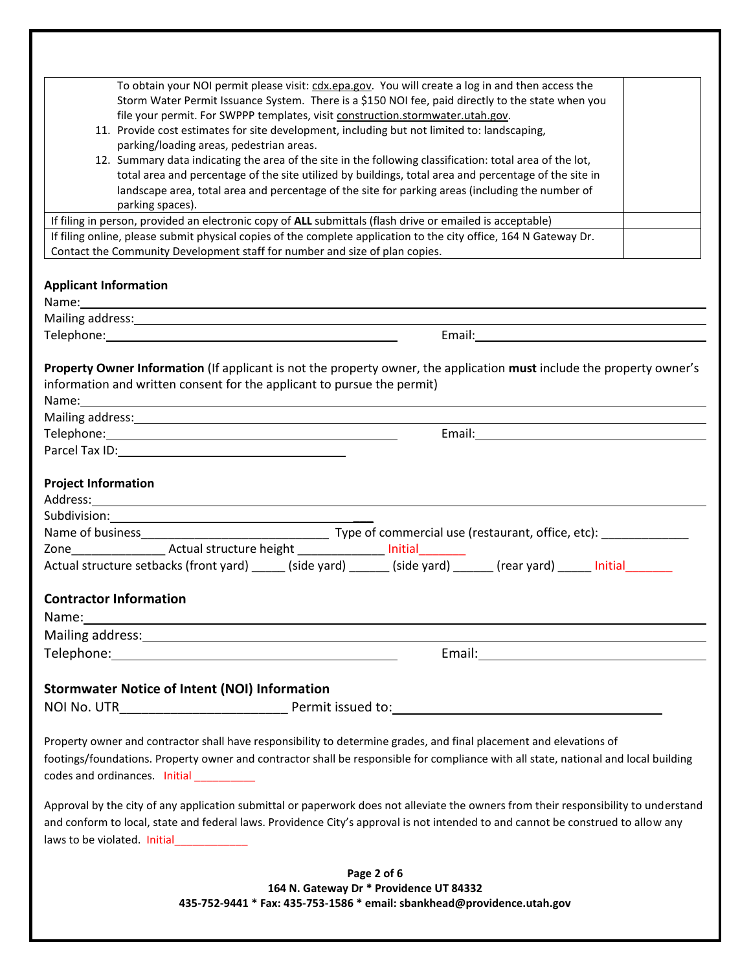| To obtain your NOI permit please visit: cdx.epa.gov. You will create a log in and then access the                                                                                                                             |  |  |  |  |  |
|-------------------------------------------------------------------------------------------------------------------------------------------------------------------------------------------------------------------------------|--|--|--|--|--|
| Storm Water Permit Issuance System. There is a \$150 NOI fee, paid directly to the state when you                                                                                                                             |  |  |  |  |  |
| file your permit. For SWPPP templates, visit construction.stormwater.utah.gov.                                                                                                                                                |  |  |  |  |  |
| 11. Provide cost estimates for site development, including but not limited to: landscaping,                                                                                                                                   |  |  |  |  |  |
| parking/loading areas, pedestrian areas.                                                                                                                                                                                      |  |  |  |  |  |
| 12. Summary data indicating the area of the site in the following classification: total area of the lot,                                                                                                                      |  |  |  |  |  |
| total area and percentage of the site utilized by buildings, total area and percentage of the site in                                                                                                                         |  |  |  |  |  |
| landscape area, total area and percentage of the site for parking areas (including the number of                                                                                                                              |  |  |  |  |  |
| parking spaces).                                                                                                                                                                                                              |  |  |  |  |  |
| If filing in person, provided an electronic copy of ALL submittals (flash drive or emailed is acceptable)                                                                                                                     |  |  |  |  |  |
| If filing online, please submit physical copies of the complete application to the city office, 164 N Gateway Dr.                                                                                                             |  |  |  |  |  |
| Contact the Community Development staff for number and size of plan copies.                                                                                                                                                   |  |  |  |  |  |
| <b>Applicant Information</b>                                                                                                                                                                                                  |  |  |  |  |  |
| Name: Name and the second contract of the second contract of the second contract of the second contract of the second contract of the second contract of the second contract of the second contract of the second contract of |  |  |  |  |  |
|                                                                                                                                                                                                                               |  |  |  |  |  |
| Telephone: Telephone:                                                                                                                                                                                                         |  |  |  |  |  |
|                                                                                                                                                                                                                               |  |  |  |  |  |
| Property Owner Information (If applicant is not the property owner, the application must include the property owner's                                                                                                         |  |  |  |  |  |
| information and written consent for the applicant to pursue the permit)                                                                                                                                                       |  |  |  |  |  |
|                                                                                                                                                                                                                               |  |  |  |  |  |
|                                                                                                                                                                                                                               |  |  |  |  |  |
| Telephone: www.astronomia.com                                                                                                                                                                                                 |  |  |  |  |  |
|                                                                                                                                                                                                                               |  |  |  |  |  |
|                                                                                                                                                                                                                               |  |  |  |  |  |
| <b>Project Information</b>                                                                                                                                                                                                    |  |  |  |  |  |
|                                                                                                                                                                                                                               |  |  |  |  |  |
|                                                                                                                                                                                                                               |  |  |  |  |  |
|                                                                                                                                                                                                                               |  |  |  |  |  |
|                                                                                                                                                                                                                               |  |  |  |  |  |
|                                                                                                                                                                                                                               |  |  |  |  |  |
|                                                                                                                                                                                                                               |  |  |  |  |  |
| <b>Contractor Information</b>                                                                                                                                                                                                 |  |  |  |  |  |
|                                                                                                                                                                                                                               |  |  |  |  |  |
|                                                                                                                                                                                                                               |  |  |  |  |  |
|                                                                                                                                                                                                                               |  |  |  |  |  |
|                                                                                                                                                                                                                               |  |  |  |  |  |
|                                                                                                                                                                                                                               |  |  |  |  |  |
| <b>Stormwater Notice of Intent (NOI) Information</b>                                                                                                                                                                          |  |  |  |  |  |
|                                                                                                                                                                                                                               |  |  |  |  |  |
|                                                                                                                                                                                                                               |  |  |  |  |  |
| Property owner and contractor shall have responsibility to determine grades, and final placement and elevations of                                                                                                            |  |  |  |  |  |
| footings/foundations. Property owner and contractor shall be responsible for compliance with all state, national and local building                                                                                           |  |  |  |  |  |
| codes and ordinances. Initial __________                                                                                                                                                                                      |  |  |  |  |  |
|                                                                                                                                                                                                                               |  |  |  |  |  |
| Approval by the city of any application submittal or paperwork does not alleviate the owners from their responsibility to understand                                                                                          |  |  |  |  |  |
| and conform to local, state and federal laws. Providence City's approval is not intended to and cannot be construed to allow any                                                                                              |  |  |  |  |  |
| laws to be violated. Initial____________                                                                                                                                                                                      |  |  |  |  |  |
|                                                                                                                                                                                                                               |  |  |  |  |  |
| Page 2 of 6                                                                                                                                                                                                                   |  |  |  |  |  |
| 164 N. Gateway Dr * Providence UT 84332                                                                                                                                                                                       |  |  |  |  |  |
| 435-752-9441 * Fax: 435-753-1586 * email: sbankhead@providence.utah.gov                                                                                                                                                       |  |  |  |  |  |
|                                                                                                                                                                                                                               |  |  |  |  |  |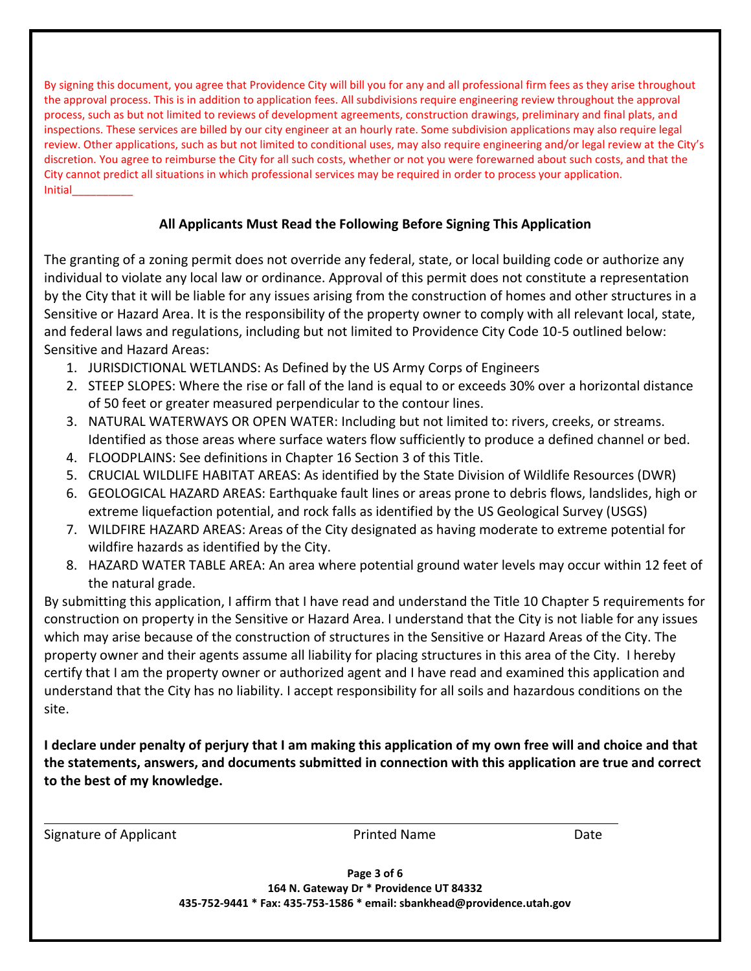By signing this document, you agree that Providence City will bill you for any and all professional firm fees as they arise throughout the approval process. This is in addition to application fees. All subdivisions require engineering review throughout the approval process, such as but not limited to reviews of development agreements, construction drawings, preliminary and final plats, and inspections. These services are billed by our city engineer at an hourly rate. Some subdivision applications may also require legal review. Other applications, such as but not limited to conditional uses, may also require engineering and/or legal review at the City's discretion. You agree to reimburse the City for all such costs, whether or not you were forewarned about such costs, and that the City cannot predict all situations in which professional services may be required in order to process your application. Initial\_\_\_\_\_\_\_\_\_\_

#### **All Applicants Must Read the Following Before Signing This Application**

The granting of a zoning permit does not override any federal, state, or local building code or authorize any individual to violate any local law or ordinance. Approval of this permit does not constitute a representation by the City that it will be liable for any issues arising from the construction of homes and other structures in a Sensitive or Hazard Area. It is the responsibility of the property owner to comply with all relevant local, state, and federal laws and regulations, including but not limited to Providence City Code 10-5 outlined below: Sensitive and Hazard Areas:

- 1. JURISDICTIONAL WETLANDS: As Defined by the US Army Corps of Engineers
- 2. STEEP SLOPES: Where the rise or fall of the land is equal to or exceeds 30% over a horizontal distance of 50 feet or greater measured perpendicular to the contour lines.
- 3. NATURAL WATERWAYS OR OPEN WATER: Including but not limited to: rivers, creeks, or streams. Identified as those areas where surface waters flow sufficiently to produce a defined channel or bed.
- 4. FLOODPLAINS: See definitions in Chapter 16 Section 3 of this Title.
- 5. CRUCIAL WILDLIFE HABITAT AREAS: As identified by the State Division of Wildlife Resources (DWR)
- 6. GEOLOGICAL HAZARD AREAS: Earthquake fault lines or areas prone to debris flows, landslides, high or extreme liquefaction potential, and rock falls as identified by the US Geological Survey (USGS)
- 7. WILDFIRE HAZARD AREAS: Areas of the City designated as having moderate to extreme potential for wildfire hazards as identified by the City.
- 8. HAZARD WATER TABLE AREA: An area where potential ground water levels may occur within 12 feet of the natural grade.

By submitting this application, I affirm that I have read and understand the Title 10 Chapter 5 requirements for construction on property in the Sensitive or Hazard Area. I understand that the City is not liable for any issues which may arise because of the construction of structures in the Sensitive or Hazard Areas of the City. The property owner and their agents assume all liability for placing structures in this area of the City. I hereby certify that I am the property owner or authorized agent and I have read and examined this application and understand that the City has no liability. I accept responsibility for all soils and hazardous conditions on the site.

**I declare under penalty of perjury that I am making this application of my own free will and choice and that the statements, answers, and documents submitted in connection with this application are true and correct to the best of my knowledge.**

Signature of Applicant and Date Research Printed Name Date Date

**Page 3 of 6 164 N. Gateway Dr \* Providence UT 84332 435-752-9441 \* Fax: 435-753-1586 \* email: sbankhead@providence.utah.gov**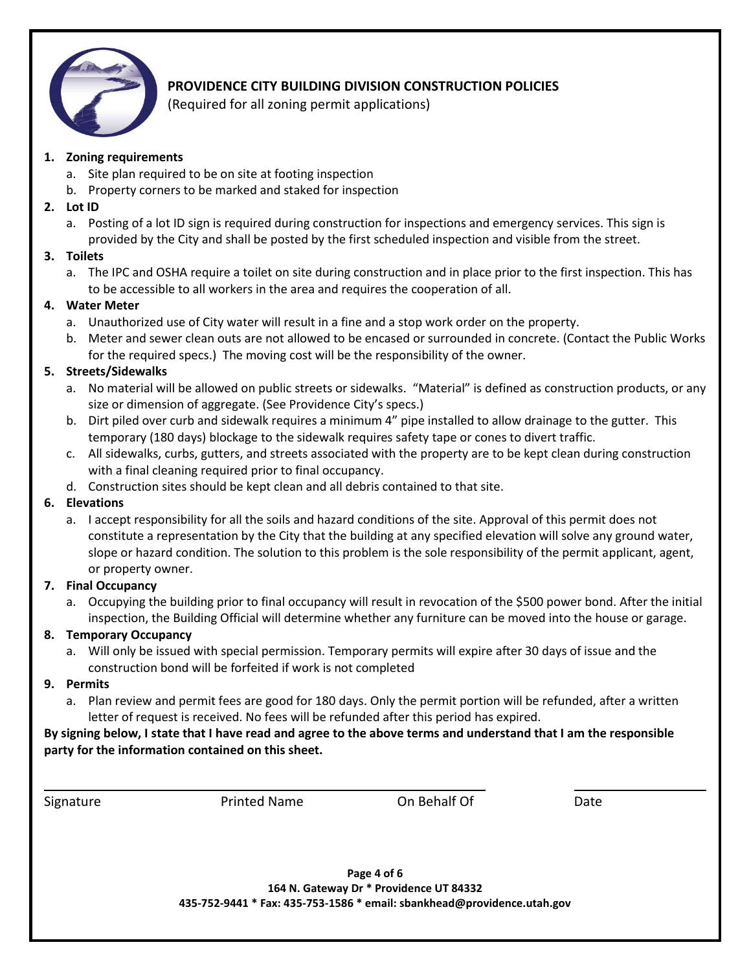

# **PROVIDENCE CITY BUILDING DIVISION CONSTRUCTION POLICIES**

(Required for all zoning permit applications)

#### **1. Zoning requirements**

- a. Site plan required to be on site at footing inspection
- b. Property corners to be marked and staked for inspection
- **2. Lot ID**
	- a. Posting of a lot ID sign is required during construction for inspections and emergency services. This sign is provided by the City and shall be posted by the first scheduled inspection and visible from the street.

#### **3. Toilets**

a. The IPC and OSHA require a toilet on site during construction and in place prior to the first inspection. This has to be accessible to all workers in the area and requires the cooperation of all.

## **4. Water Meter**

- a. Unauthorized use of City water will result in a fine and a stop work order on the property.
- b. Meter and sewer clean outs are not allowed to be encased or surrounded in concrete. (Contact the Public Works for the required specs.) The moving cost will be the responsibility of the owner.

## **5. Streets/Sidewalks**

- a. No material will be allowed on public streets or sidewalks. "Material" is defined as construction products, or any size or dimension of aggregate. (See Providence City's specs.)
- b. Dirt piled over curb and sidewalk requires a minimum 4" pipe installed to allow drainage to the gutter. This temporary (180 days) blockage to the sidewalk requires safety tape or cones to divert traffic.
- c. All sidewalks, curbs, gutters, and streets associated with the property are to be kept clean during construction with a final cleaning required prior to final occupancy.
- d. Construction sites should be kept clean and all debris contained to that site.

## **6. Elevations**

a. I accept responsibility for all the soils and hazard conditions of the site. Approval of this permit does not constitute a representation by the City that the building at any specified elevation will solve any ground water, slope or hazard condition. The solution to this problem is the sole responsibility of the permit applicant, agent, or property owner.

## **7. Final Occupancy**

a. Occupying the building prior to final occupancy will result in revocation of the \$500 power bond. After the initial inspection, the Building Official will determine whether any furniture can be moved into the house or garage.

## **8. Temporary Occupancy**

a. Will only be issued with special permission. Temporary permits will expire after 30 days of issue and the construction bond will be forfeited if work is not completed

## **9. Permits**

a. Plan review and permit fees are good for 180 days. Only the permit portion will be refunded, after a written letter of request is received. No fees will be refunded after this period has expired.

**By signing below, I state that I have read and agree to the above terms and understand that I am the responsible party for the information contained on this sheet.**

Signature **Printed Name** On Behalf Of Date Date

**Page 4 of 6 164 N. Gateway Dr \* Providence UT 84332 435-752-9441 \* Fax: 435-753-1586 \* email: sbankhead@providence.utah.gov**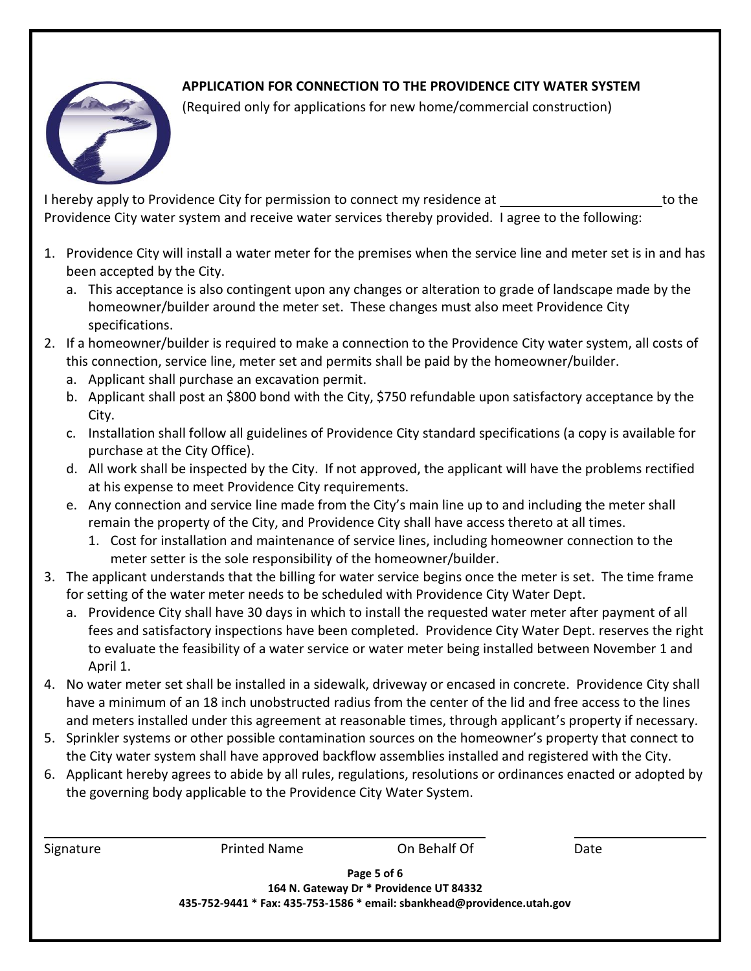## **APPLICATION FOR CONNECTION TO THE PROVIDENCE CITY WATER SYSTEM**



(Required only for applications for new home/commercial construction)

I hereby apply to Providence City for permission to connect my residence at \_\_\_\_\_\_\_\_\_\_\_\_\_\_\_\_\_\_\_\_\_\_\_to the Providence City water system and receive water services thereby provided. I agree to the following:

- 1. Providence City will install a water meter for the premises when the service line and meter set is in and has been accepted by the City.
	- a. This acceptance is also contingent upon any changes or alteration to grade of landscape made by the homeowner/builder around the meter set. These changes must also meet Providence City specifications.
- 2. If a homeowner/builder is required to make a connection to the Providence City water system, all costs of this connection, service line, meter set and permits shall be paid by the homeowner/builder.
	- a. Applicant shall purchase an excavation permit.
	- b. Applicant shall post an \$800 bond with the City, \$750 refundable upon satisfactory acceptance by the City.
	- c. Installation shall follow all guidelines of Providence City standard specifications (a copy is available for purchase at the City Office).
	- d. All work shall be inspected by the City. If not approved, the applicant will have the problems rectified at his expense to meet Providence City requirements.
	- e. Any connection and service line made from the City's main line up to and including the meter shall remain the property of the City, and Providence City shall have access thereto at all times.
		- 1. Cost for installation and maintenance of service lines, including homeowner connection to the meter setter is the sole responsibility of the homeowner/builder.
- 3. The applicant understands that the billing for water service begins once the meter is set. The time frame for setting of the water meter needs to be scheduled with Providence City Water Dept.
	- a. Providence City shall have 30 days in which to install the requested water meter after payment of all fees and satisfactory inspections have been completed. Providence City Water Dept. reserves the right to evaluate the feasibility of a water service or water meter being installed between November 1 and April 1.
- 4. No water meter set shall be installed in a sidewalk, driveway or encased in concrete. Providence City shall have a minimum of an 18 inch unobstructed radius from the center of the lid and free access to the lines and meters installed under this agreement at reasonable times, through applicant's property if necessary.
- 5. Sprinkler systems or other possible contamination sources on the homeowner's property that connect to the City water system shall have approved backflow assemblies installed and registered with the City.
- 6. Applicant hereby agrees to abide by all rules, regulations, resolutions or ordinances enacted or adopted by the governing body applicable to the Providence City Water System.

| Signature                                                                                                                         | <b>Printed Name</b> | On Behalf Of | Date |  |
|-----------------------------------------------------------------------------------------------------------------------------------|---------------------|--------------|------|--|
| Page 5 of 6<br>164 N. Gateway Dr * Providence UT 84332<br>435-752-9441 * Fax: 435-753-1586 * email: sbankhead@providence.utah.gov |                     |              |      |  |